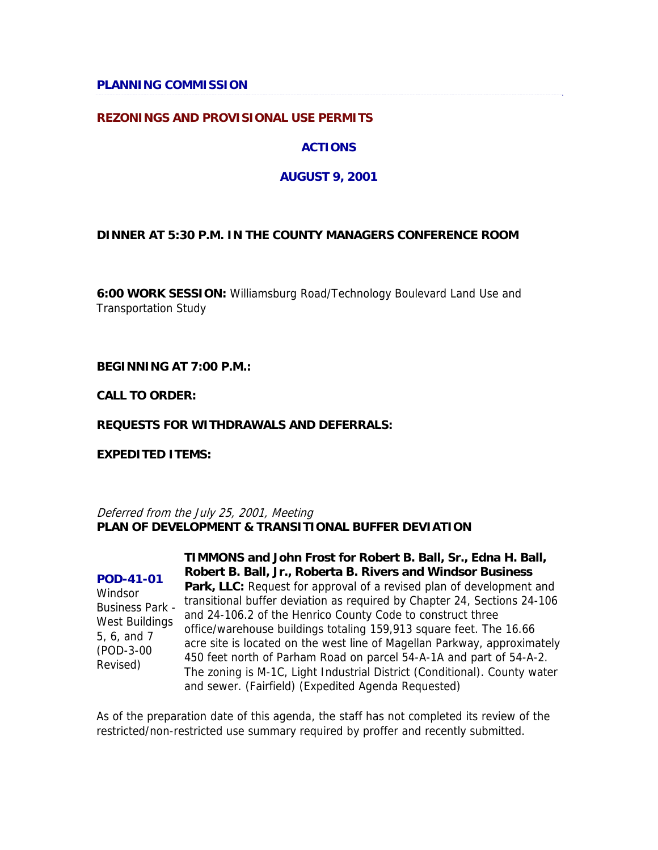### **PLANNING COMMISSION**

### **REZONINGS AND PROVISIONAL USE PERMITS**

### **ACTIONS**

### **AUGUST 9, 2001**

### **DINNER AT 5:30 P.M. IN THE COUNTY MANAGERS CONFERENCE ROOM**

**6:00 WORK SESSION:** Williamsburg Road/Technology Boulevard Land Use and Transportation Study

**BEGINNING AT 7:00 P.M.:**

**CALL TO ORDER:**

### **REQUESTS FOR WITHDRAWALS AND DEFERRALS:**

**EXPEDITED ITEMS:**

Deferred from the July 25, 2001, Meeting **PLAN OF DEVELOPMENT & TRANSITIONAL BUFFER DEVIATION**

**POD-41-01 Windsor** Business Park - West Buildings 5, 6, and 7 (POD-3-00 Revised)

**TIMMONS and John Frost for Robert B. Ball, Sr., Edna H. Ball, Robert B. Ball, Jr., Roberta B. Rivers and Windsor Business Park, LLC:** Request for approval of a revised plan of development and transitional buffer deviation as required by Chapter 24, Sections 24-106 and 24-106.2 of the Henrico County Code to construct three office/warehouse buildings totaling 159,913 square feet. The 16.66 acre site is located on the west line of Magellan Parkway, approximately 450 feet north of Parham Road on parcel 54-A-1A and part of 54-A-2. The zoning is M-1C, Light Industrial District (Conditional). County water and sewer. (Fairfield) (Expedited Agenda Requested)

As of the preparation date of this agenda, the staff has not completed its review of the restricted/non-restricted use summary required by proffer and recently submitted.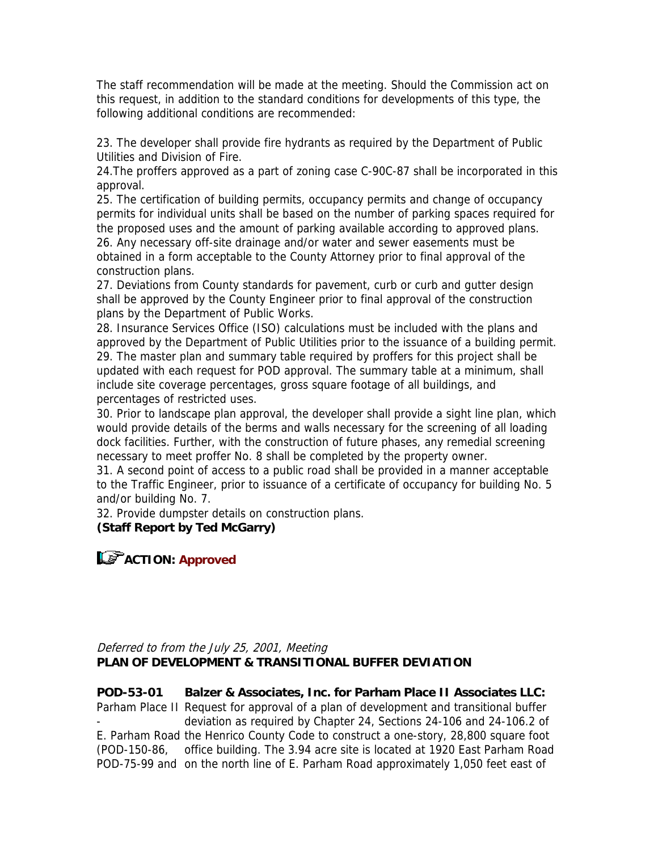The staff recommendation will be made at the meeting. Should the Commission act on this request, in addition to the standard conditions for developments of this type, the following additional conditions are recommended:

23. The developer shall provide fire hydrants as required by the Department of Public Utilities and Division of Fire.

24.The proffers approved as a part of zoning case C-90C-87 shall be incorporated in this approval.

25. The certification of building permits, occupancy permits and change of occupancy permits for individual units shall be based on the number of parking spaces required for the proposed uses and the amount of parking available according to approved plans. 26. Any necessary off-site drainage and/or water and sewer easements must be obtained in a form acceptable to the County Attorney prior to final approval of the construction plans.

27. Deviations from County standards for pavement, curb or curb and gutter design shall be approved by the County Engineer prior to final approval of the construction plans by the Department of Public Works.

28. Insurance Services Office (ISO) calculations must be included with the plans and approved by the Department of Public Utilities prior to the issuance of a building permit. 29. The master plan and summary table required by proffers for this project shall be updated with each request for POD approval. The summary table at a minimum, shall include site coverage percentages, gross square footage of all buildings, and percentages of restricted uses.

30. Prior to landscape plan approval, the developer shall provide a sight line plan, which would provide details of the berms and walls necessary for the screening of all loading dock facilities. Further, with the construction of future phases, any remedial screening necessary to meet proffer No. 8 shall be completed by the property owner.

31. A second point of access to a public road shall be provided in a manner acceptable to the Traffic Engineer, prior to issuance of a certificate of occupancy for building No. 5 and/or building No. 7.

32. Provide dumpster details on construction plans.

## **(Staff Report by Ted McGarry)**

## **ACTION: Approved**

### Deferred to from the July 25, 2001, Meeting **PLAN OF DEVELOPMENT & TRANSITIONAL BUFFER DEVIATION**

**POD-53-01** Parham Place II Request for approval of a plan of development and transitional buffer - E. Parham Road the Henrico County Code to construct a one-story, 28,800 square foot (POD-150-86, POD-75-99 and on the north line of E. Parham Road approximately 1,050 feet east of **Balzer & Associates, Inc. for Parham Place II Associates LLC:** deviation as required by Chapter 24, Sections 24-106 and 24-106.2 of office building. The 3.94 acre site is located at 1920 East Parham Road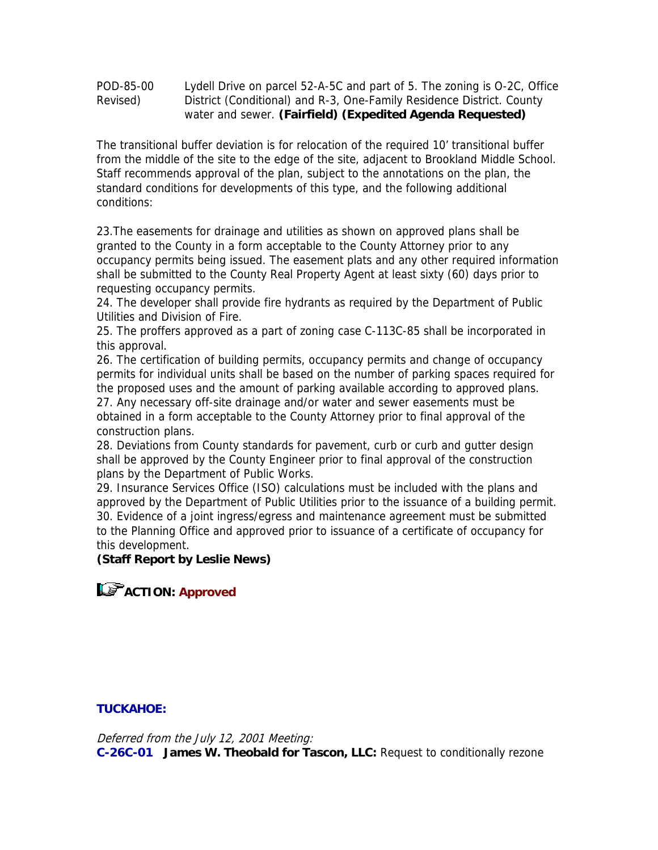| POD-85-00 | Lydell Drive on parcel 52-A-5C and part of 5. The zoning is O-2C, Office |
|-----------|--------------------------------------------------------------------------|
| Revised)  | District (Conditional) and R-3, One-Family Residence District. County    |
|           | water and sewer. (Fairfield) (Expedited Agenda Requested)                |

The transitional buffer deviation is for relocation of the required 10' transitional buffer from the middle of the site to the edge of the site, adjacent to Brookland Middle School. Staff recommends approval of the plan, subject to the annotations on the plan, the standard conditions for developments of this type, and the following additional conditions:

23.The easements for drainage and utilities as shown on approved plans shall be granted to the County in a form acceptable to the County Attorney prior to any occupancy permits being issued. The easement plats and any other required information shall be submitted to the County Real Property Agent at least sixty (60) days prior to requesting occupancy permits.

24. The developer shall provide fire hydrants as required by the Department of Public Utilities and Division of Fire.

25. The proffers approved as a part of zoning case C-113C-85 shall be incorporated in this approval.

26. The certification of building permits, occupancy permits and change of occupancy permits for individual units shall be based on the number of parking spaces required for the proposed uses and the amount of parking available according to approved plans. 27. Any necessary off-site drainage and/or water and sewer easements must be obtained in a form acceptable to the County Attorney prior to final approval of the construction plans.

28. Deviations from County standards for pavement, curb or curb and gutter design shall be approved by the County Engineer prior to final approval of the construction plans by the Department of Public Works.

29. Insurance Services Office (ISO) calculations must be included with the plans and approved by the Department of Public Utilities prior to the issuance of a building permit. 30. Evidence of a joint ingress/egress and maintenance agreement must be submitted to the Planning Office and approved prior to issuance of a certificate of occupancy for this development.

### **(Staff Report by Leslie News)**

**ACTION: Approved** 

### **TUCKAHOE:**

Deferred from the July 12, 2001 Meeting: **C-26C-01 James W. Theobald for Tascon, LLC:** Request to conditionally rezone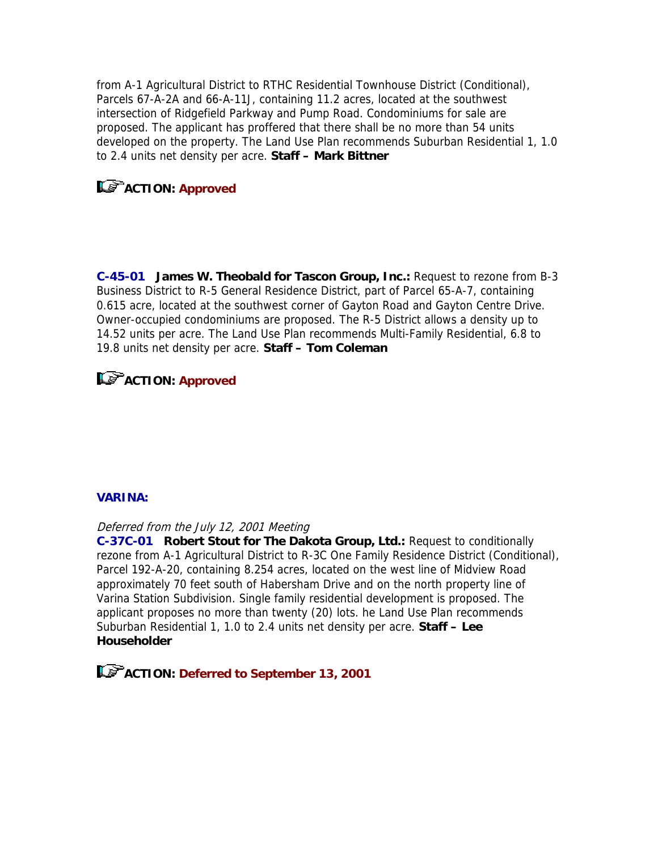from A-1 Agricultural District to RTHC Residential Townhouse District (Conditional), Parcels 67-A-2A and 66-A-11J, containing 11.2 acres, located at the southwest intersection of Ridgefield Parkway and Pump Road. Condominiums for sale are proposed. The applicant has proffered that there shall be no more than 54 units developed on the property. The Land Use Plan recommends Suburban Residential 1, 1.0 to 2.4 units net density per acre. **Staff – Mark Bittner**

# **ACTION: Approved**

**C-45-01 James W. Theobald for Tascon Group, Inc.:** Request to rezone from B-3 Business District to R-5 General Residence District, part of Parcel 65-A-7, containing 0.615 acre, located at the southwest corner of Gayton Road and Gayton Centre Drive. Owner-occupied condominiums are proposed. The R-5 District allows a density up to 14.52 units per acre. The Land Use Plan recommends Multi-Family Residential, 6.8 to 19.8 units net density per acre. **Staff – Tom Coleman**

# **ACTION: Approved**

## **VARINA:**

### Deferred from the July 12, 2001 Meeting

**C-37C-01 Robert Stout for The Dakota Group, Ltd.:** Request to conditionally rezone from A-1 Agricultural District to R-3C One Family Residence District (Conditional), Parcel 192-A-20, containing 8.254 acres, located on the west line of Midview Road approximately 70 feet south of Habersham Drive and on the north property line of Varina Station Subdivision. Single family residential development is proposed. The applicant proposes no more than twenty (20) lots. he Land Use Plan recommends Suburban Residential 1, 1.0 to 2.4 units net density per acre. **Staff – Lee Householder** 

**ACTION: Deferred to September 13, 2001**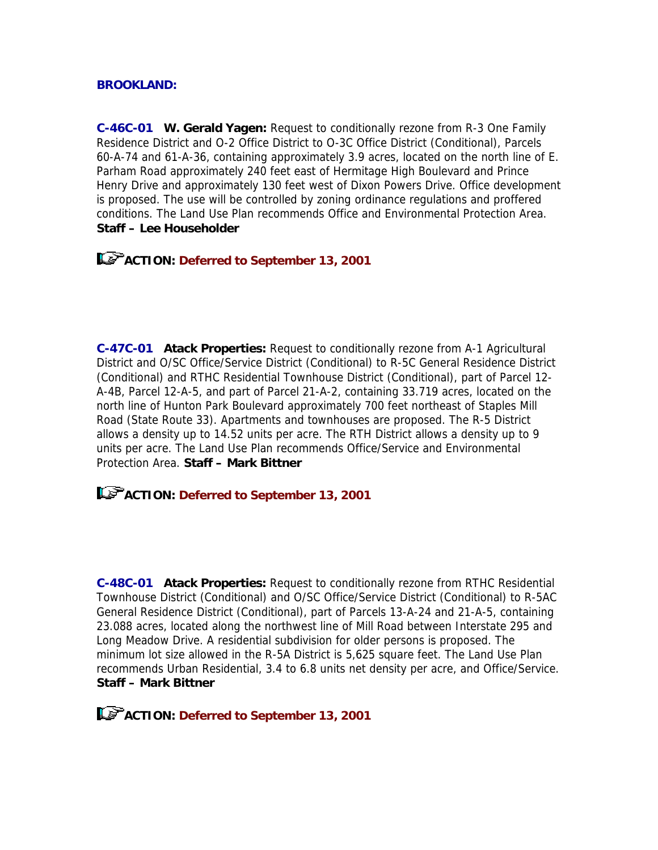### **BROOKLAND:**

**C-46C-01 W. Gerald Yagen:** Request to conditionally rezone from R-3 One Family Residence District and O-2 Office District to O-3C Office District (Conditional), Parcels 60-A-74 and 61-A-36, containing approximately 3.9 acres, located on the north line of E. Parham Road approximately 240 feet east of Hermitage High Boulevard and Prince Henry Drive and approximately 130 feet west of Dixon Powers Drive. Office development is proposed. The use will be controlled by zoning ordinance regulations and proffered conditions. The Land Use Plan recommends Office and Environmental Protection Area. **Staff – Lee Householder** 

**ACTION: Deferred to September 13, 2001**

**C-47C-01 Atack Properties:** Request to conditionally rezone from A-1 Agricultural District and O/SC Office/Service District (Conditional) to R-5C General Residence District (Conditional) and RTHC Residential Townhouse District (Conditional), part of Parcel 12- A-4B, Parcel 12-A-5, and part of Parcel 21-A-2, containing 33.719 acres, located on the north line of Hunton Park Boulevard approximately 700 feet northeast of Staples Mill Road (State Route 33). Apartments and townhouses are proposed. The R-5 District allows a density up to 14.52 units per acre. The RTH District allows a density up to 9 units per acre. The Land Use Plan recommends Office/Service and Environmental Protection Area. **Staff – Mark Bittner** 

**ACTION: Deferred to September 13, 2001**

**C-48C-01 Atack Properties:** Request to conditionally rezone from RTHC Residential Townhouse District (Conditional) and O/SC Office/Service District (Conditional) to R-5AC General Residence District (Conditional), part of Parcels 13-A-24 and 21-A-5, containing 23.088 acres, located along the northwest line of Mill Road between Interstate 295 and Long Meadow Drive. A residential subdivision for older persons is proposed. The minimum lot size allowed in the R-5A District is 5,625 square feet. The Land Use Plan recommends Urban Residential, 3.4 to 6.8 units net density per acre, and Office/Service. **Staff – Mark Bittner**

**ACTION: Deferred to September 13, 2001**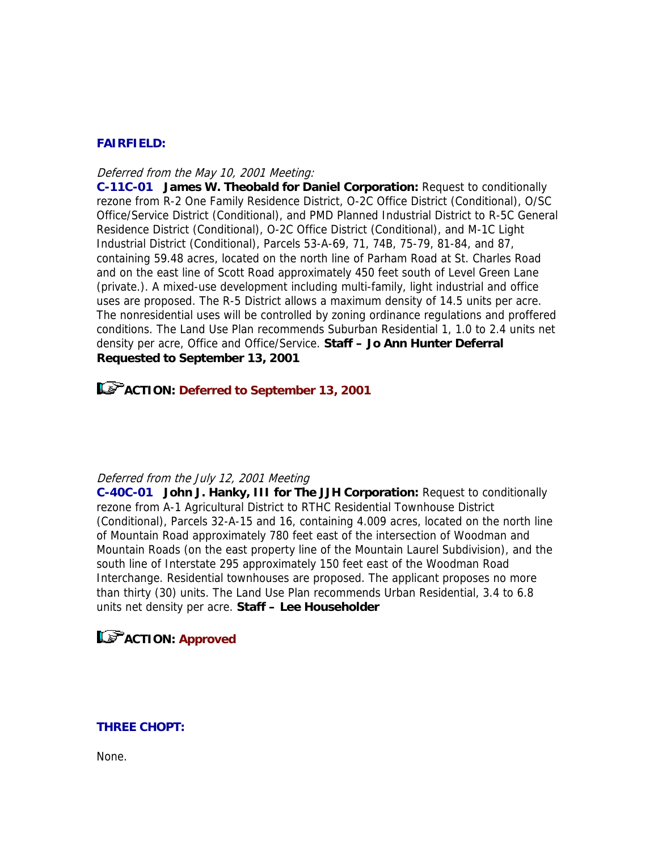### **FAIRFIELD:**

#### Deferred from the May 10, 2001 Meeting:

**C-11C-01 James W. Theobald for Daniel Corporation:** Request to conditionally rezone from R-2 One Family Residence District, O-2C Office District (Conditional), O/SC Office/Service District (Conditional), and PMD Planned Industrial District to R-5C General Residence District (Conditional), O-2C Office District (Conditional), and M-1C Light Industrial District (Conditional), Parcels 53-A-69, 71, 74B, 75-79, 81-84, and 87, containing 59.48 acres, located on the north line of Parham Road at St. Charles Road and on the east line of Scott Road approximately 450 feet south of Level Green Lane (private.). A mixed-use development including multi-family, light industrial and office uses are proposed. The R-5 District allows a maximum density of 14.5 units per acre. The nonresidential uses will be controlled by zoning ordinance regulations and proffered conditions. The Land Use Plan recommends Suburban Residential 1, 1.0 to 2.4 units net density per acre, Office and Office/Service. **Staff – Jo Ann Hunter Deferral Requested to September 13, 2001** 

**ACTION: Deferred to September 13, 2001**

#### Deferred from the July 12, 2001 Meeting

**C-40C-01 John J. Hanky, III for The JJH Corporation:** Request to conditionally rezone from A-1 Agricultural District to RTHC Residential Townhouse District (Conditional), Parcels 32-A-15 and 16, containing 4.009 acres, located on the north line of Mountain Road approximately 780 feet east of the intersection of Woodman and Mountain Roads (on the east property line of the Mountain Laurel Subdivision), and the south line of Interstate 295 approximately 150 feet east of the Woodman Road Interchange. Residential townhouses are proposed. The applicant proposes no more than thirty (30) units. The Land Use Plan recommends Urban Residential, 3.4 to 6.8 units net density per acre. **Staff – Lee Householder** 

## **LS** ACTION: Approved

### **THREE CHOPT:**

None.